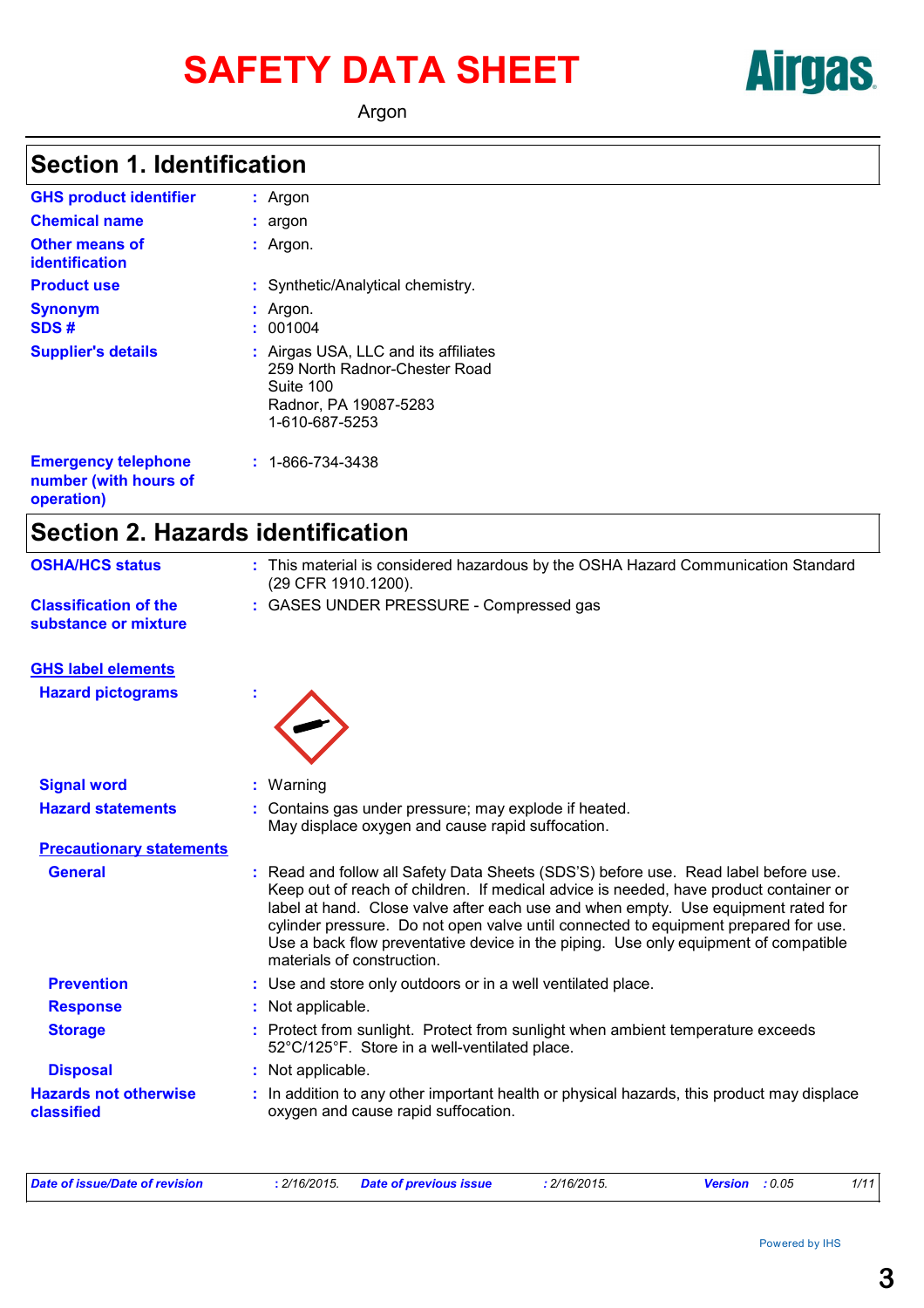# SAFETY DATA SHEET **AITUAL**

Argon

### **Section 1. Identification**

| <b>GHS product identifier</b>                  | $:$ Argon                                                                                                                     |
|------------------------------------------------|-------------------------------------------------------------------------------------------------------------------------------|
| <b>Chemical name</b>                           | : argon                                                                                                                       |
| <b>Other means of</b><br><b>identification</b> | $:$ Argon.                                                                                                                    |
| <b>Product use</b>                             | : Synthetic/Analytical chemistry.                                                                                             |
| <b>Synonym</b><br>SDS#                         | $:$ Argon.<br>001004                                                                                                          |
| <b>Supplier's details</b>                      | : Airgas USA, LLC and its affiliates<br>259 North Radnor-Chester Road<br>Suite 100<br>Radnor, PA 19087-5283<br>1-610-687-5253 |
| <b>Emergency telephone</b>                     | $: 1 - 866 - 734 - 3438$                                                                                                      |

| <b>Emergency telephone</b> |  |  |
|----------------------------|--|--|
| number (with hours of      |  |  |
| operation)                 |  |  |

### **Section 2. Hazards identification**

| <b>OSHA/HCS status</b>                               | : This material is considered hazardous by the OSHA Hazard Communication Standard<br>(29 CFR 1910.1200).                                                                                                                                                                                                                                                                                                                                                                          |
|------------------------------------------------------|-----------------------------------------------------------------------------------------------------------------------------------------------------------------------------------------------------------------------------------------------------------------------------------------------------------------------------------------------------------------------------------------------------------------------------------------------------------------------------------|
| <b>Classification of the</b><br>substance or mixture | : GASES UNDER PRESSURE - Compressed gas                                                                                                                                                                                                                                                                                                                                                                                                                                           |
| <b>GHS label elements</b>                            |                                                                                                                                                                                                                                                                                                                                                                                                                                                                                   |
| <b>Hazard pictograms</b>                             |                                                                                                                                                                                                                                                                                                                                                                                                                                                                                   |
| <b>Signal word</b>                                   | : Warning                                                                                                                                                                                                                                                                                                                                                                                                                                                                         |
| <b>Hazard statements</b>                             | Contains gas under pressure; may explode if heated.<br>May displace oxygen and cause rapid suffocation.                                                                                                                                                                                                                                                                                                                                                                           |
| <b>Precautionary statements</b>                      |                                                                                                                                                                                                                                                                                                                                                                                                                                                                                   |
| <b>General</b>                                       | Read and follow all Safety Data Sheets (SDS'S) before use. Read label before use.<br>t.<br>Keep out of reach of children. If medical advice is needed, have product container or<br>label at hand. Close valve after each use and when empty. Use equipment rated for<br>cylinder pressure. Do not open valve until connected to equipment prepared for use.<br>Use a back flow preventative device in the piping. Use only equipment of compatible<br>materials of construction. |
| <b>Prevention</b>                                    | : Use and store only outdoors or in a well ventilated place.                                                                                                                                                                                                                                                                                                                                                                                                                      |
| <b>Response</b>                                      | : Not applicable.                                                                                                                                                                                                                                                                                                                                                                                                                                                                 |
| <b>Storage</b>                                       | : Protect from sunlight. Protect from sunlight when ambient temperature exceeds<br>52°C/125°F. Store in a well-ventilated place.                                                                                                                                                                                                                                                                                                                                                  |
| <b>Disposal</b>                                      | : Not applicable.                                                                                                                                                                                                                                                                                                                                                                                                                                                                 |
| <b>Hazards not otherwise</b><br>classified           | : In addition to any other important health or physical hazards, this product may displace<br>oxygen and cause rapid suffocation.                                                                                                                                                                                                                                                                                                                                                 |

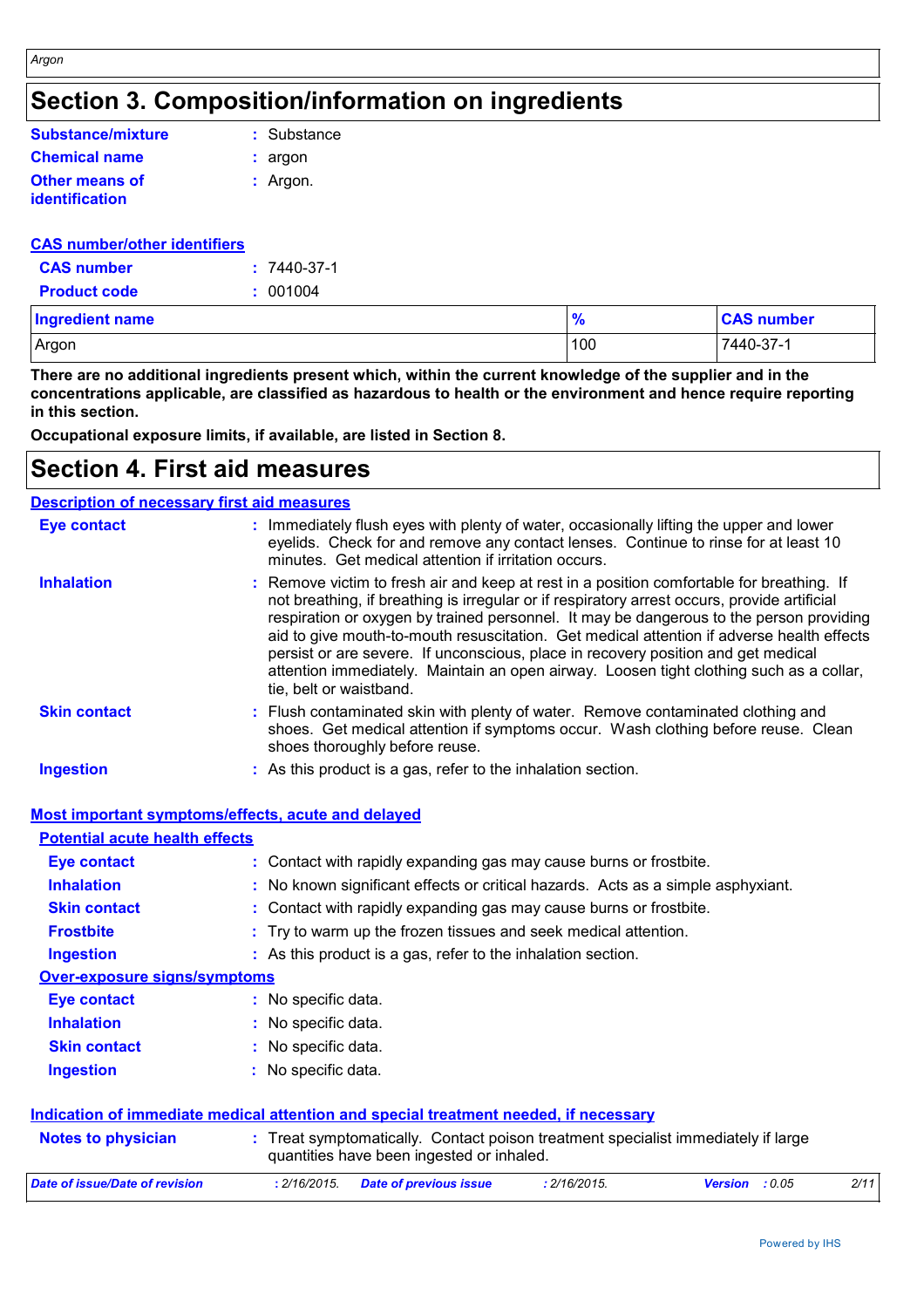| Substance/mixture     | : Substance |
|-----------------------|-------------|
| <b>Chemical name</b>  | : argon     |
| Other means of        | $:$ Argon.  |
| <b>identification</b> |             |

#### **CAS number/other identifiers**

*Argon*

| <b>CAS number</b>   | $: 7440 - 37 - 1$ |
|---------------------|-------------------|
| <b>Product code</b> | : 001004          |

| <b>Ingredient name</b> | $\frac{9}{6}$ | <b>CAS number</b> |
|------------------------|---------------|-------------------|
| Argon                  | 100           | 7440-37-1         |

**There are no additional ingredients present which, within the current knowledge of the supplier and in the concentrations applicable, are classified as hazardous to health or the environment and hence require reporting in this section.**

**Occupational exposure limits, if available, are listed in Section 8.**

### **Section 4. First aid measures**

#### **Description of necessary first aid measures**

| <b>Eye contact</b>  | : Immediately flush eyes with plenty of water, occasionally lifting the upper and lower<br>eyelids. Check for and remove any contact lenses. Continue to rinse for at least 10<br>minutes. Get medical attention if irritation occurs.                                                                                                                                                                                                                                                                                                                                                       |
|---------------------|----------------------------------------------------------------------------------------------------------------------------------------------------------------------------------------------------------------------------------------------------------------------------------------------------------------------------------------------------------------------------------------------------------------------------------------------------------------------------------------------------------------------------------------------------------------------------------------------|
| <b>Inhalation</b>   | : Remove victim to fresh air and keep at rest in a position comfortable for breathing. If<br>not breathing, if breathing is irregular or if respiratory arrest occurs, provide artificial<br>respiration or oxygen by trained personnel. It may be dangerous to the person providing<br>aid to give mouth-to-mouth resuscitation. Get medical attention if adverse health effects<br>persist or are severe. If unconscious, place in recovery position and get medical<br>attention immediately. Maintain an open airway. Loosen tight clothing such as a collar,<br>tie, belt or waistband. |
| <b>Skin contact</b> | : Flush contaminated skin with plenty of water. Remove contaminated clothing and<br>shoes. Get medical attention if symptoms occur. Wash clothing before reuse. Clean<br>shoes thoroughly before reuse.                                                                                                                                                                                                                                                                                                                                                                                      |
| <b>Ingestion</b>    | : As this product is a gas, refer to the inhalation section.                                                                                                                                                                                                                                                                                                                                                                                                                                                                                                                                 |

|                                       | <b>Most important symptoms/effects, acute and delayed</b>                                                                      |
|---------------------------------------|--------------------------------------------------------------------------------------------------------------------------------|
| <b>Potential acute health effects</b> |                                                                                                                                |
| Eye contact                           | : Contact with rapidly expanding gas may cause burns or frostbite.                                                             |
| <b>Inhalation</b>                     | : No known significant effects or critical hazards. Acts as a simple asphyxiant.                                               |
| <b>Skin contact</b>                   | : Contact with rapidly expanding gas may cause burns or frostbite.                                                             |
| <b>Frostbite</b>                      | : Try to warm up the frozen tissues and seek medical attention.                                                                |
| <b>Ingestion</b>                      | : As this product is a gas, refer to the inhalation section.                                                                   |
| <b>Over-exposure signs/symptoms</b>   |                                                                                                                                |
| Eye contact                           | : No specific data.                                                                                                            |
| <b>Inhalation</b>                     | : No specific data.                                                                                                            |
| <b>Skin contact</b>                   | : No specific data.                                                                                                            |
| <b>Ingestion</b>                      | : No specific data.                                                                                                            |
|                                       | Indication of immediate medical attention and special treatment needed, if necessary                                           |
| <b>Notes to physician</b>             | : Treat symptomatically. Contact poison treatment specialist immediately if large<br>quantities have been ingested or inhaled. |
| <b>Date of issue/Date of revision</b> | : 2/16/2015.<br>2/11<br>: 2/16/2015.<br><b>Date of previous issue</b><br>Version : 0.05                                        |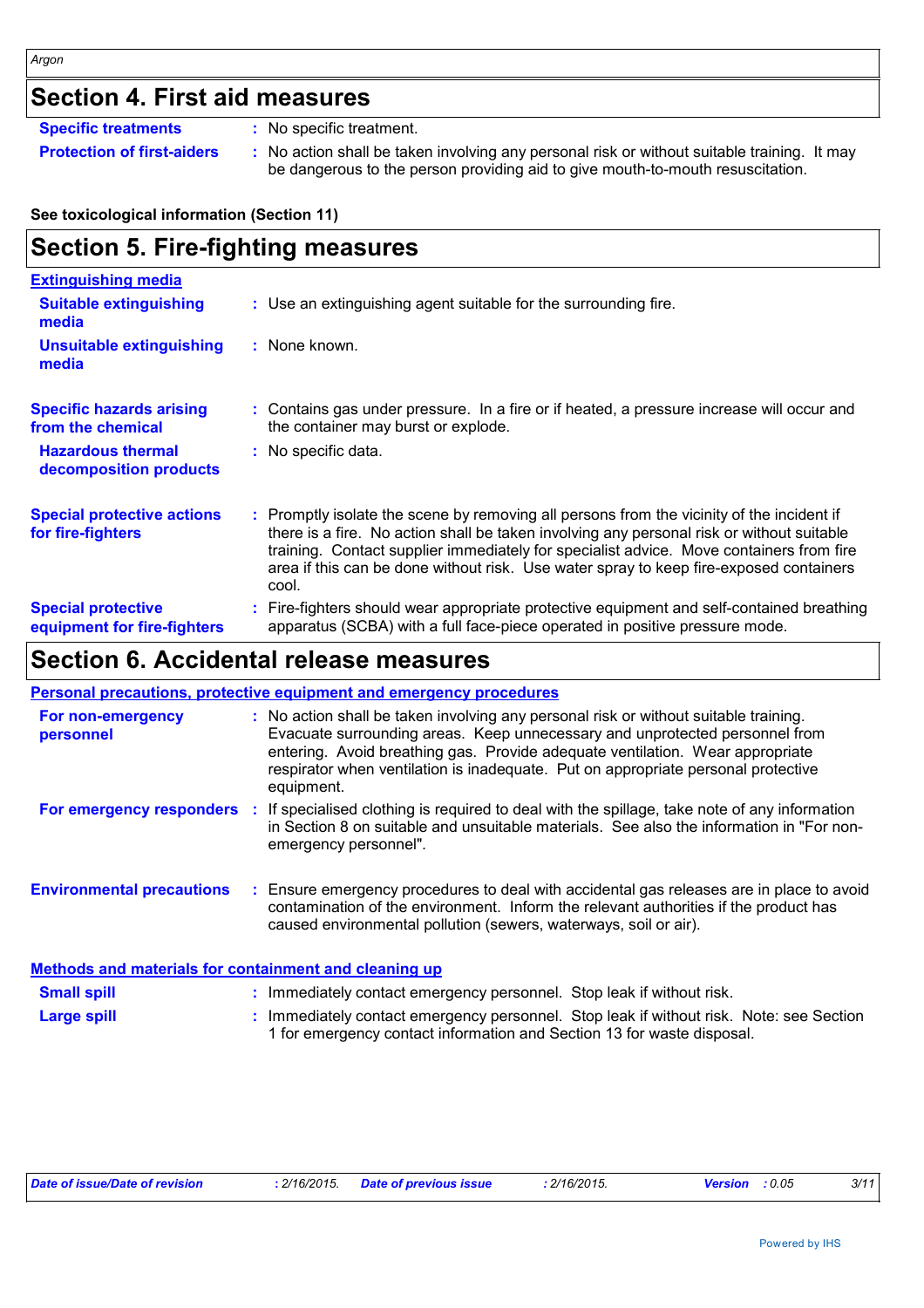### **Section 4. First aid measures**

**Specific treatments :** No specific treatment.

**Protection of first-aiders** : No action shall be taken involving any personal risk or without suitable training. It may be dangerous to the person providing aid to give mouth-to-mouth resuscitation.

#### **See toxicological information (Section 11)**

#### **Section 5. Fire-fighting measures :** Promptly isolate the scene by removing all persons from the vicinity of the incident if there is a fire. No action shall be taken involving any personal risk or without suitable training. Contact supplier immediately for specialist advice. Move containers from fire area if this can be done without risk. Use water spray to keep fire-exposed containers cool. **Hazardous thermal decomposition products Specific hazards arising from the chemical** No specific data. **:** Contains gas under pressure. In a fire or if heated, a pressure increase will occur and **:** the container may burst or explode. Fire-fighters should wear appropriate protective equipment and self-contained breathing **:** apparatus (SCBA) with a full face-piece operated in positive pressure mode. **Special protective equipment for fire-fighters** Use an extinguishing agent suitable for the surrounding fire. **: Extinguishing media :** None known. **Suitable extinguishing media Unsuitable extinguishing media Special protective actions for fire-fighters**

### **Section 6. Accidental release measures**

|                                                              | <b>Personal precautions, protective equipment and emergency procedures</b>                                                                                                                                                                                                                                                                              |
|--------------------------------------------------------------|---------------------------------------------------------------------------------------------------------------------------------------------------------------------------------------------------------------------------------------------------------------------------------------------------------------------------------------------------------|
| For non-emergency<br>personnel                               | : No action shall be taken involving any personal risk or without suitable training.<br>Evacuate surrounding areas. Keep unnecessary and unprotected personnel from<br>entering. Avoid breathing gas. Provide adequate ventilation. Wear appropriate<br>respirator when ventilation is inadequate. Put on appropriate personal protective<br>equipment. |
|                                                              | For emergency responders : If specialised clothing is required to deal with the spillage, take note of any information<br>in Section 8 on suitable and unsuitable materials. See also the information in "For non-<br>emergency personnel".                                                                                                             |
| <b>Environmental precautions</b>                             | : Ensure emergency procedures to deal with accidental gas releases are in place to avoid<br>contamination of the environment. Inform the relevant authorities if the product has<br>caused environmental pollution (sewers, waterways, soil or air).                                                                                                    |
| <b>Methods and materials for containment and cleaning up</b> |                                                                                                                                                                                                                                                                                                                                                         |
| <b>Small spill</b>                                           | : Immediately contact emergency personnel. Stop leak if without risk.                                                                                                                                                                                                                                                                                   |

| <b>PHONE PRIN</b>  | miniodiatory contact childrenoy porconnici. Ctop ican il miticat non.                   |
|--------------------|-----------------------------------------------------------------------------------------|
| <b>Large spill</b> | * Immediately contact emergency personnel. Stop leak if without risk. Note: see Section |
|                    | 1 for emergency contact information and Section 13 for waste disposal.                  |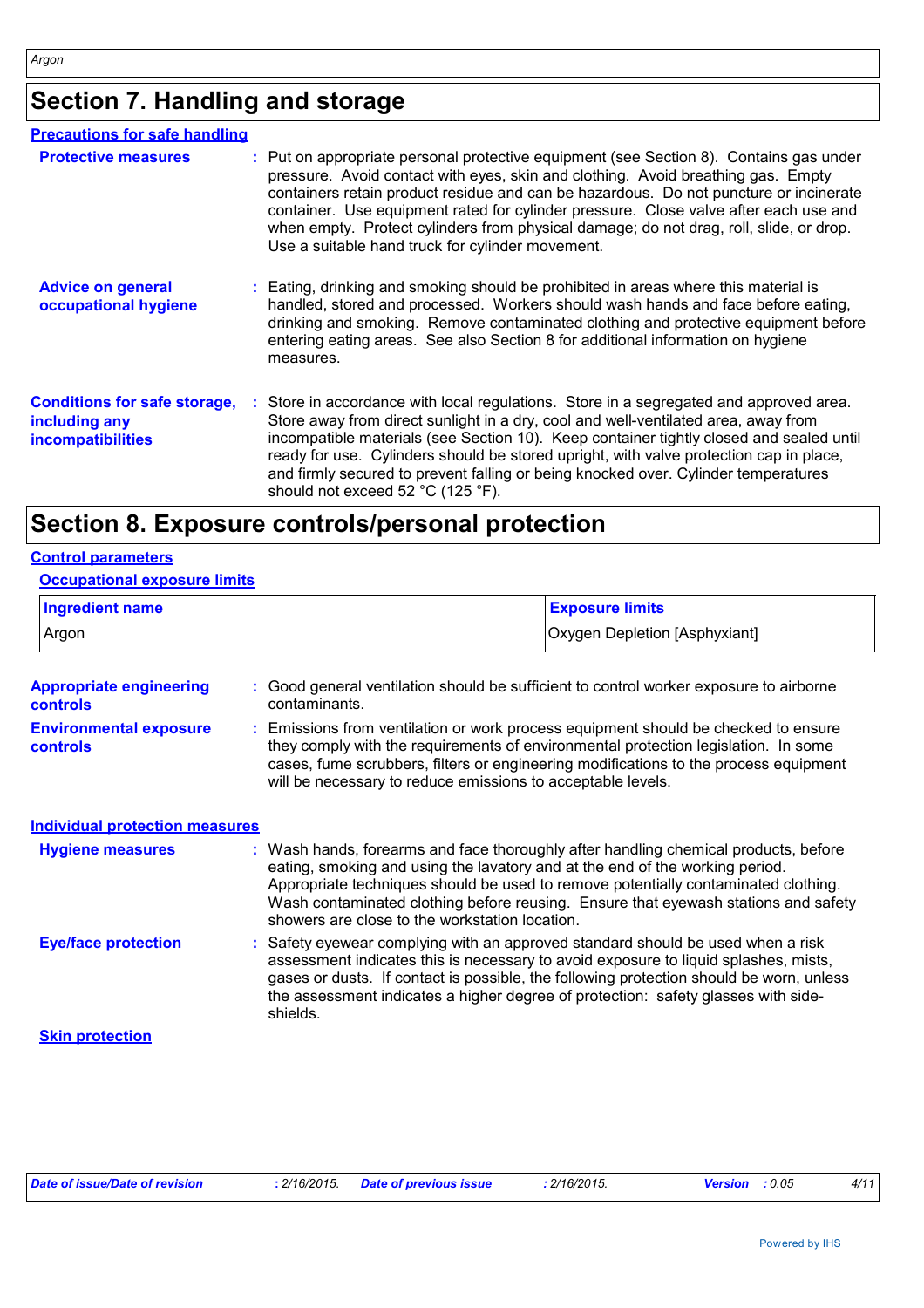## **Section 7. Handling and storage**

| <b>Precautions for safe handling</b>                                             |                                                                                                                                                                                                                                                                                                                                                                                                                                                                                                           |
|----------------------------------------------------------------------------------|-----------------------------------------------------------------------------------------------------------------------------------------------------------------------------------------------------------------------------------------------------------------------------------------------------------------------------------------------------------------------------------------------------------------------------------------------------------------------------------------------------------|
| <b>Protective measures</b>                                                       | : Put on appropriate personal protective equipment (see Section 8). Contains gas under<br>pressure. Avoid contact with eyes, skin and clothing. Avoid breathing gas. Empty<br>containers retain product residue and can be hazardous. Do not puncture or incinerate<br>container. Use equipment rated for cylinder pressure. Close valve after each use and<br>when empty. Protect cylinders from physical damage; do not drag, roll, slide, or drop.<br>Use a suitable hand truck for cylinder movement. |
| <b>Advice on general</b><br>occupational hygiene                                 | : Eating, drinking and smoking should be prohibited in areas where this material is<br>handled, stored and processed. Workers should wash hands and face before eating,<br>drinking and smoking. Remove contaminated clothing and protective equipment before<br>entering eating areas. See also Section 8 for additional information on hygiene<br>measures.                                                                                                                                             |
| <b>Conditions for safe storage,</b><br>including any<br><b>incompatibilities</b> | : Store in accordance with local regulations. Store in a segregated and approved area.<br>Store away from direct sunlight in a dry, cool and well-ventilated area, away from<br>incompatible materials (see Section 10). Keep container tightly closed and sealed until<br>ready for use. Cylinders should be stored upright, with valve protection cap in place,<br>and firmly secured to prevent falling or being knocked over. Cylinder temperatures<br>should not exceed 52 °C (125 °F).              |

### **Section 8. Exposure controls/personal protection**

#### **Control parameters**

#### **Occupational exposure limits**

| <b>Ingredient name</b> | <b>Exposure limits</b>        |
|------------------------|-------------------------------|
| Argon                  | Oxygen Depletion [Asphyxiant] |

| <b>Appropriate engineering</b>            | : Good general ventilation should be sufficient to control worker exposure to airborne                                                                                                                                                                                                                                                                                                            |
|-------------------------------------------|---------------------------------------------------------------------------------------------------------------------------------------------------------------------------------------------------------------------------------------------------------------------------------------------------------------------------------------------------------------------------------------------------|
| <b>controls</b>                           | contaminants.                                                                                                                                                                                                                                                                                                                                                                                     |
| <b>Environmental exposure</b><br>controls | Emissions from ventilation or work process equipment should be checked to ensure<br>they comply with the requirements of environmental protection legislation. In some<br>cases, fume scrubbers, filters or engineering modifications to the process equipment<br>will be necessary to reduce emissions to acceptable levels.                                                                     |
| <b>Individual protection measures</b>     |                                                                                                                                                                                                                                                                                                                                                                                                   |
| <b>Hygiene measures</b>                   | : Wash hands, forearms and face thoroughly after handling chemical products, before<br>eating, smoking and using the lavatory and at the end of the working period.<br>Appropriate techniques should be used to remove potentially contaminated clothing.<br>Wash contaminated clothing before reusing. Ensure that eyewash stations and safety<br>showers are close to the workstation location. |
| <b>Eye/face protection</b>                | : Safety eyewear complying with an approved standard should be used when a risk<br>assessment indicates this is necessary to avoid exposure to liquid splashes, mists,<br>gases or dusts. If contact is possible, the following protection should be worn, unless<br>the assessment indicates a higher degree of protection: safety glasses with side-<br>shields.                                |

**Skin protection**

| Date of issue/Date of revision | : 2/16/2015. Date of previous issue | : 2/16/2015. | <b>Version</b> : 0.05 | 4/11 |
|--------------------------------|-------------------------------------|--------------|-----------------------|------|
|                                |                                     |              |                       |      |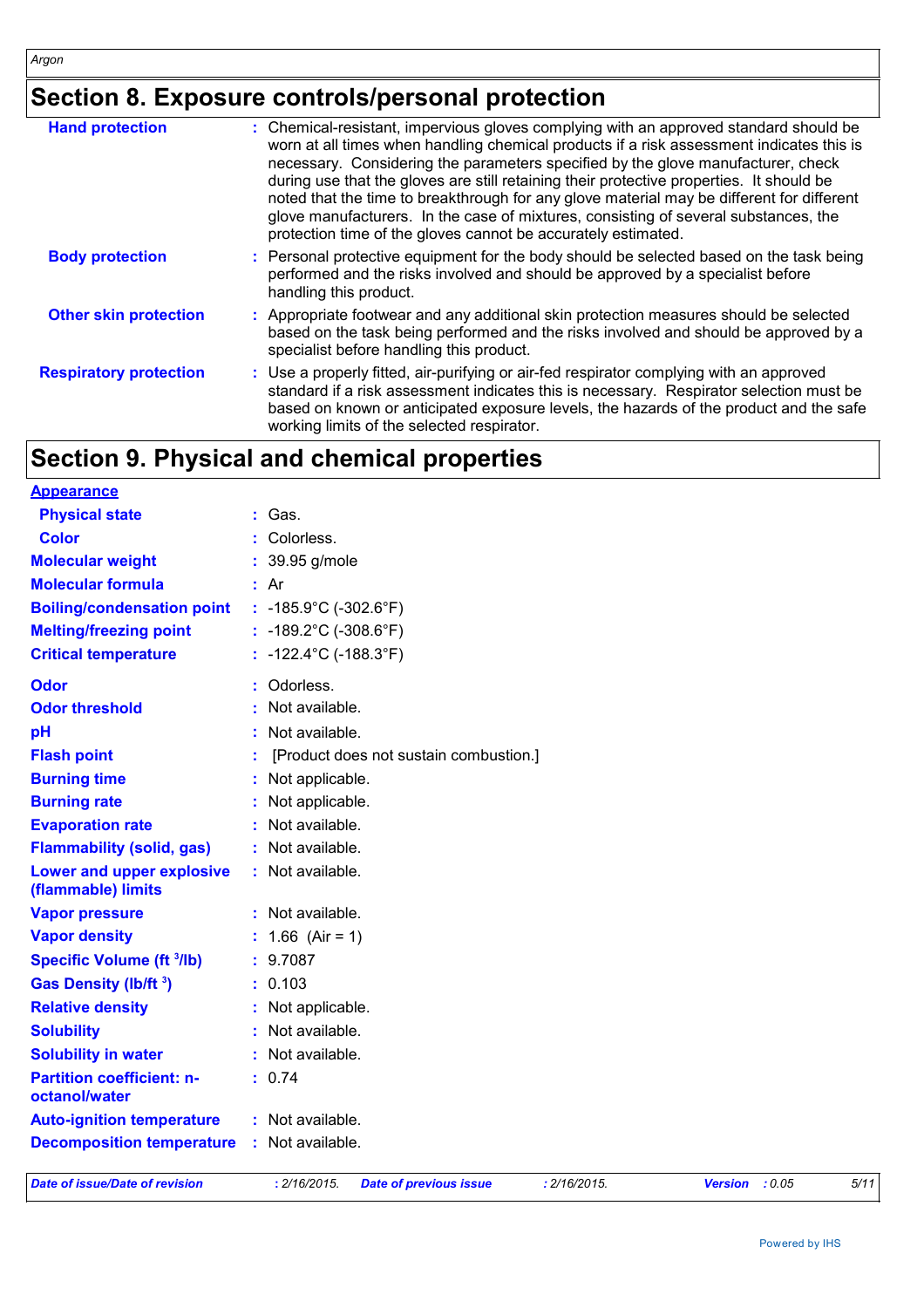### **Section 8. Exposure controls/personal protection**

| <b>Hand protection</b>        | : Chemical-resistant, impervious gloves complying with an approved standard should be<br>worn at all times when handling chemical products if a risk assessment indicates this is<br>necessary. Considering the parameters specified by the glove manufacturer, check<br>during use that the gloves are still retaining their protective properties. It should be<br>noted that the time to breakthrough for any glove material may be different for different<br>glove manufacturers. In the case of mixtures, consisting of several substances, the<br>protection time of the gloves cannot be accurately estimated. |
|-------------------------------|------------------------------------------------------------------------------------------------------------------------------------------------------------------------------------------------------------------------------------------------------------------------------------------------------------------------------------------------------------------------------------------------------------------------------------------------------------------------------------------------------------------------------------------------------------------------------------------------------------------------|
| <b>Body protection</b>        | : Personal protective equipment for the body should be selected based on the task being<br>performed and the risks involved and should be approved by a specialist before<br>handling this product.                                                                                                                                                                                                                                                                                                                                                                                                                    |
| <b>Other skin protection</b>  | : Appropriate footwear and any additional skin protection measures should be selected<br>based on the task being performed and the risks involved and should be approved by a<br>specialist before handling this product.                                                                                                                                                                                                                                                                                                                                                                                              |
| <b>Respiratory protection</b> | : Use a properly fitted, air-purifying or air-fed respirator complying with an approved<br>standard if a risk assessment indicates this is necessary. Respirator selection must be<br>based on known or anticipated exposure levels, the hazards of the product and the safe<br>working limits of the selected respirator.                                                                                                                                                                                                                                                                                             |

### **Section 9. Physical and chemical properties**

| <b>Appearance</b>                                 |                                            |
|---------------------------------------------------|--------------------------------------------|
| <b>Physical state</b>                             | : Gas.                                     |
| <b>Color</b>                                      | : Colorless.                               |
| <b>Molecular weight</b>                           | : 39.95 g/mole                             |
| <b>Molecular formula</b>                          | : Ar                                       |
| <b>Boiling/condensation point</b>                 | : $-185.9^{\circ}$ C ( $-302.6^{\circ}$ F) |
| <b>Melting/freezing point</b>                     | : $-189.2^{\circ}$ C ( $-308.6^{\circ}$ F) |
| <b>Critical temperature</b>                       | $: -122.4^{\circ}C (-188.3^{\circ}F)$      |
| <b>Odor</b>                                       | : Odorless.                                |
| <b>Odor threshold</b>                             | Not available.                             |
| pH                                                | : Not available.                           |
| <b>Flash point</b>                                | [Product does not sustain combustion.]     |
| <b>Burning time</b>                               | : Not applicable.                          |
| <b>Burning rate</b>                               | : Not applicable.                          |
| <b>Evaporation rate</b>                           | : Not available.                           |
| <b>Flammability (solid, gas)</b>                  | : Not available.                           |
| Lower and upper explosive<br>(flammable) limits   | : Not available.                           |
| <b>Vapor pressure</b>                             | : Not available.                           |
| <b>Vapor density</b>                              | : $1.66$ (Air = 1)                         |
| <b>Specific Volume (ft 3/lb)</b>                  | : 9.7087                                   |
| Gas Density (lb/ft <sup>3</sup> )                 | : 0.103                                    |
| <b>Relative density</b>                           | : Not applicable.                          |
| <b>Solubility</b>                                 | : Not available.                           |
| <b>Solubility in water</b>                        | : Not available.                           |
| <b>Partition coefficient: n-</b><br>octanol/water | : 0.74                                     |
| <b>Auto-ignition temperature</b>                  | : Not available.                           |
| <b>Decomposition temperature</b>                  | : Not available.                           |
|                                                   |                                            |

*Date of issue/Date of revision* **:** *2/16/2015. Date of previous issue : 2/16/2015. Version : 0.05 5/11*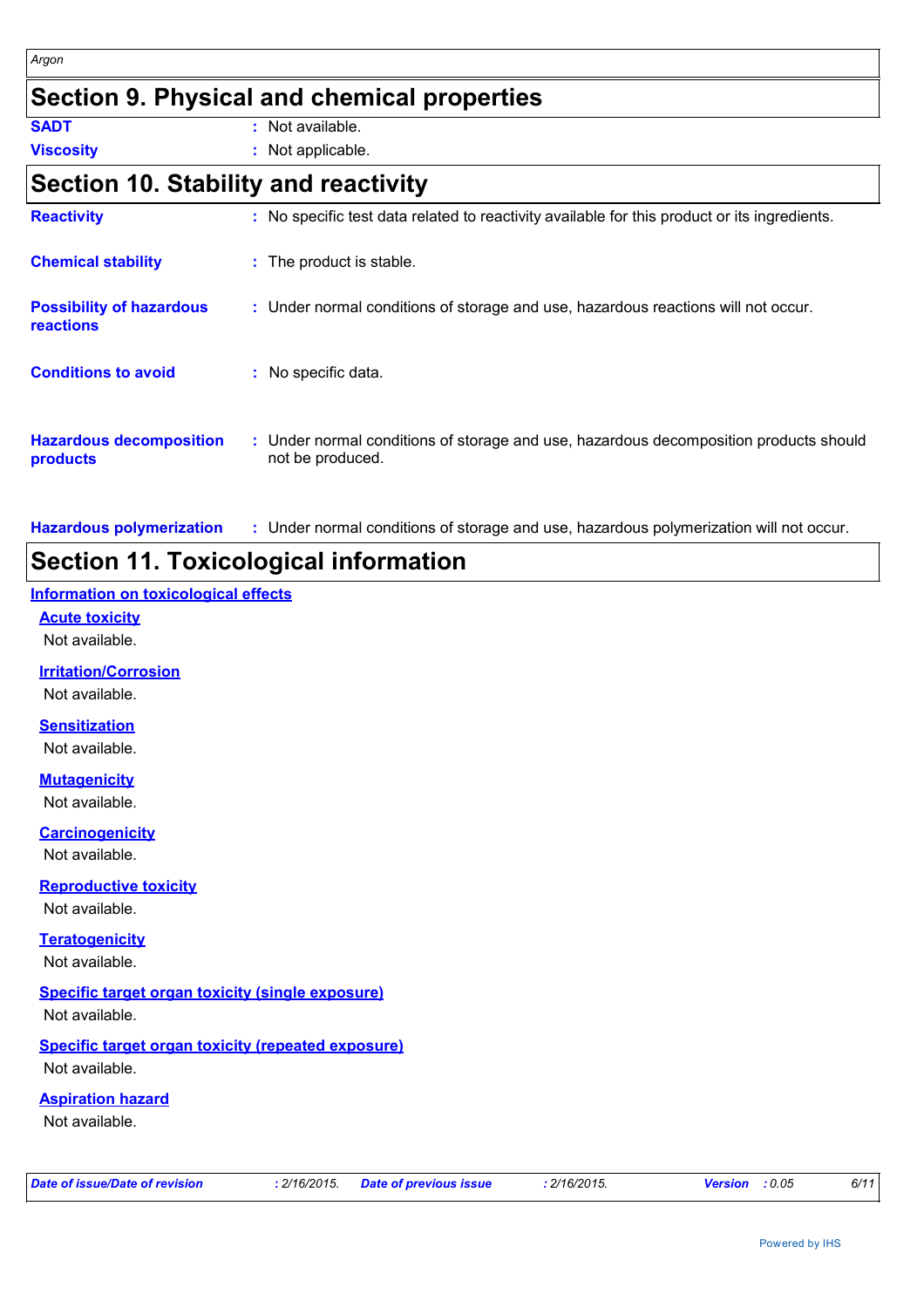### **Section 9. Physical and chemical properties**

**SADT :** Not available.

**Viscosity :** Not applicable.

### **Section 10. Stability and reactivity**

| <b>Reactivity</b>                                   | : No specific test data related to reactivity available for this product or its ingredients.              |
|-----------------------------------------------------|-----------------------------------------------------------------------------------------------------------|
| <b>Chemical stability</b>                           | : The product is stable.                                                                                  |
| <b>Possibility of hazardous</b><br><b>reactions</b> | : Under normal conditions of storage and use, hazardous reactions will not occur.                         |
| <b>Conditions to avoid</b>                          | : No specific data.                                                                                       |
| <b>Hazardous decomposition</b><br>products          | : Under normal conditions of storage and use, hazardous decomposition products should<br>not be produced. |

**Hazardous polymerization :** Under normal conditions of storage and use, hazardous polymerization will not occur.

### **Section 11. Toxicological information**

### **Information on toxicological effects**

**Acute toxicity**

Not available.

**Irritation/Corrosion**

Not available.

#### **Sensitization**

Not available.

#### **Mutagenicity**

Not available.

#### **Carcinogenicity**

Not available.

#### **Reproductive toxicity**

Not available.

#### **Teratogenicity** Not available.

#### **Specific target organ toxicity (single exposure)**

Not available.

#### **Specific target organ toxicity (repeated exposure)** Not available.

**Aspiration hazard**

Not available.

|  |  | Date of issue/Date of revision |
|--|--|--------------------------------|
|  |  |                                |

*Date of issue/Date of revision* **:** *2/16/2015. Date of previous issue : 2/16/2015. Version : 0.05 6/11*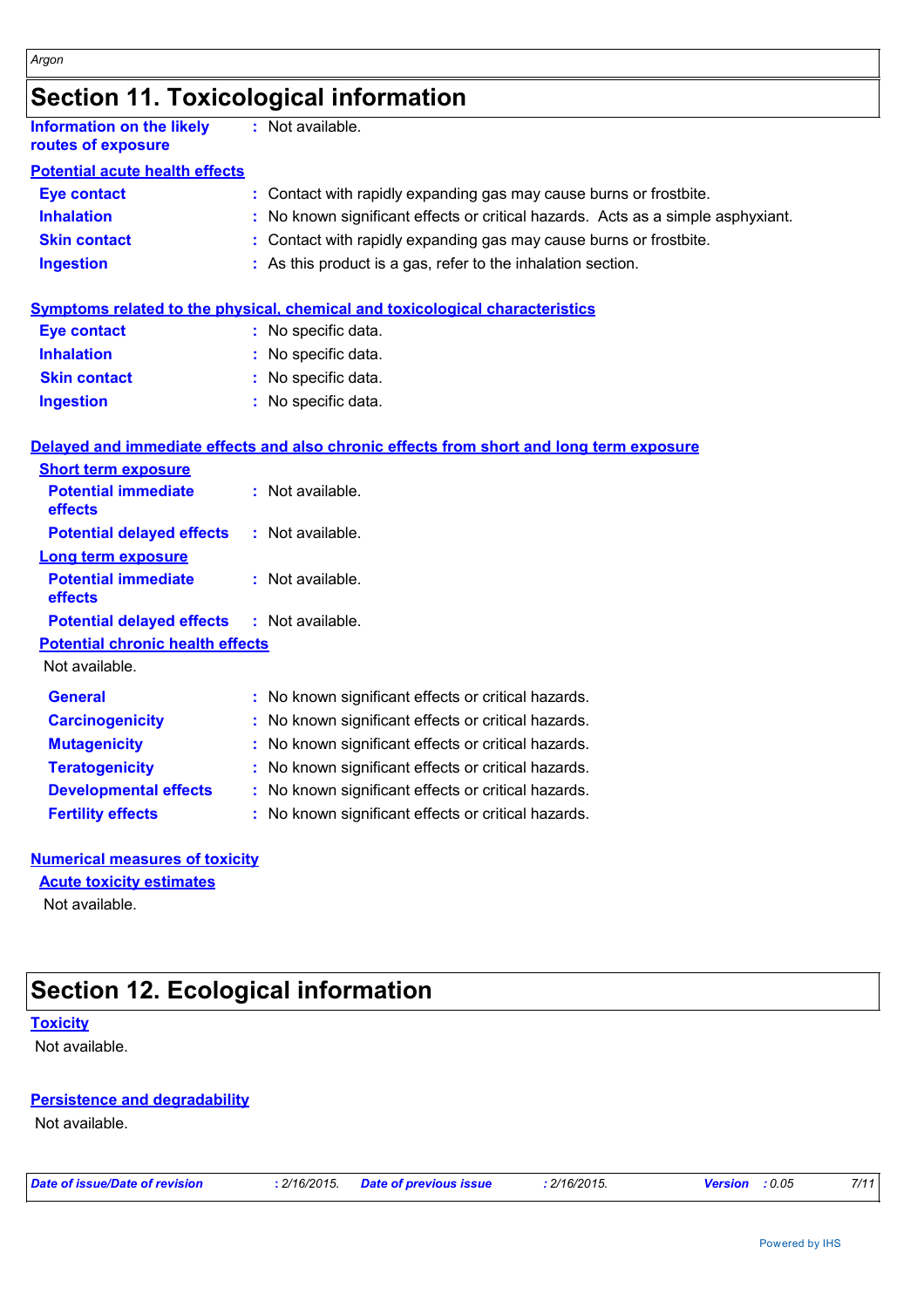### **Section 11. Toxicological information**

| <b>Information on the likely</b><br>routes of exposure | : Not available.                                                                         |
|--------------------------------------------------------|------------------------------------------------------------------------------------------|
| <b>Potential acute health effects</b>                  |                                                                                          |
| <b>Eye contact</b>                                     | : Contact with rapidly expanding gas may cause burns or frostbite.                       |
| <b>Inhalation</b>                                      | : No known significant effects or critical hazards. Acts as a simple asphyxiant.         |
| <b>Skin contact</b>                                    | : Contact with rapidly expanding gas may cause burns or frostbite.                       |
| <b>Ingestion</b>                                       | : As this product is a gas, refer to the inhalation section.                             |
|                                                        | <b>Symptoms related to the physical, chemical and toxicological characteristics</b>      |
| <b>Eye contact</b>                                     | : No specific data.                                                                      |
| <b>Inhalation</b>                                      | : No specific data.                                                                      |
| <b>Skin contact</b>                                    | : No specific data.                                                                      |
| <b>Ingestion</b>                                       | : No specific data.                                                                      |
|                                                        | Delayed and immediate effects and also chronic effects from short and long term exposure |
| <b>Short term exposure</b>                             |                                                                                          |
| <b>Potential immediate</b><br>effects                  | : Not available.                                                                         |
| <b>Potential delayed effects</b>                       | : Not available.                                                                         |
| <b>Long term exposure</b>                              |                                                                                          |
| <b>Potential immediate</b><br>effects                  | : Not available.                                                                         |
| <b>Potential delayed effects</b>                       | : Not available.                                                                         |
| <b>Potential chronic health effects</b>                |                                                                                          |
| Not available.                                         |                                                                                          |
| <b>General</b>                                         | : No known significant effects or critical hazards.                                      |
| <b>Carcinogenicity</b>                                 | : No known significant effects or critical hazards.                                      |
| <b>Mutagenicity</b>                                    | No known significant effects or critical hazards.                                        |
| <b>Teratogenicity</b>                                  | : No known significant effects or critical hazards.                                      |
| <b>Developmental effects</b>                           | : No known significant effects or critical hazards.                                      |
| <b>Fertility effects</b>                               | : No known significant effects or critical hazards.                                      |
| <b>Numerical measures of toxicity</b>                  |                                                                                          |

Not available. **Acute toxicity estimates**

### **Section 12. Ecological information**

**Toxicity**

Not available.

#### **Persistence and degradability**

Not available.

*Date of issue/Date of revision* **:** *2/16/2015. Date of previous issue : 2/16/2015. Version : 0.05 7/11*

Powered by IHS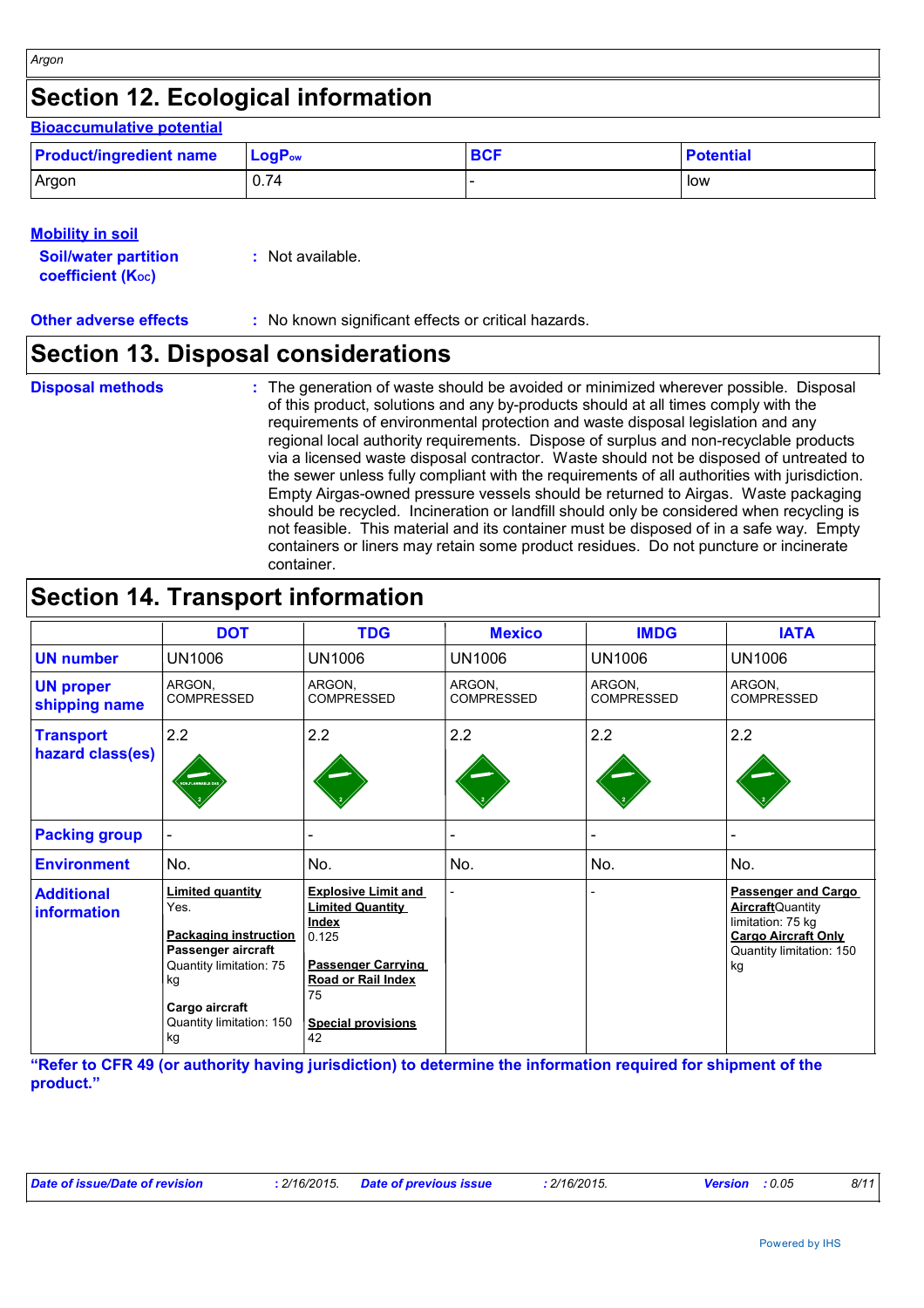#### **Mobility in soil**

*Argon*

| <b>Soil/water partition</b> | : Not available. |
|-----------------------------|------------------|
| <b>coefficient (Koc)</b>    |                  |

**Other adverse effects** : No known significant effects or critical hazards.

### **Section 13. Disposal considerations**

- **Disposal methods :**
- The generation of waste should be avoided or minimized wherever possible. Disposal of this product, solutions and any by-products should at all times comply with the requirements of environmental protection and waste disposal legislation and any regional local authority requirements. Dispose of surplus and non-recyclable products via a licensed waste disposal contractor. Waste should not be disposed of untreated to the sewer unless fully compliant with the requirements of all authorities with jurisdiction. Empty Airgas-owned pressure vessels should be returned to Airgas. Waste packaging should be recycled. Incineration or landfill should only be considered when recycling is not feasible. This material and its container must be disposed of in a safe way. Empty containers or liners may retain some product residues. Do not puncture or incinerate container.

### **Section 14. Transport information**

|                                         | <b>DOT</b>                                                                                                                                                                 | <b>TDG</b>                                                                                                                                                                        | <b>Mexico</b>               | <b>IMDG</b>                 | <b>IATA</b>                                                                                                                          |
|-----------------------------------------|----------------------------------------------------------------------------------------------------------------------------------------------------------------------------|-----------------------------------------------------------------------------------------------------------------------------------------------------------------------------------|-----------------------------|-----------------------------|--------------------------------------------------------------------------------------------------------------------------------------|
| <b>UN number</b>                        | <b>UN1006</b>                                                                                                                                                              | <b>UN1006</b>                                                                                                                                                                     | <b>UN1006</b>               | UN1006                      | UN1006                                                                                                                               |
| <b>UN proper</b><br>shipping name       | ARGON,<br><b>COMPRESSED</b>                                                                                                                                                | ARGON,<br><b>COMPRESSED</b>                                                                                                                                                       | ARGON,<br><b>COMPRESSED</b> | ARGON,<br><b>COMPRESSED</b> | ARGON,<br><b>COMPRESSED</b>                                                                                                          |
| <b>Transport</b><br>hazard class(es)    | 2.2<br>ON FLANMABLE                                                                                                                                                        | 2.2                                                                                                                                                                               | 2.2                         | 2.2                         | 2.2                                                                                                                                  |
| <b>Packing group</b>                    |                                                                                                                                                                            |                                                                                                                                                                                   |                             |                             |                                                                                                                                      |
| <b>Environment</b>                      | No.                                                                                                                                                                        | No.                                                                                                                                                                               | No.                         | No.                         | No.                                                                                                                                  |
| <b>Additional</b><br><b>information</b> | <b>Limited quantity</b><br>Yes.<br><b>Packaging instruction</b><br>Passenger aircraft<br>Quantity limitation: 75<br>kg<br>Cargo aircraft<br>Quantity limitation: 150<br>kg | <b>Explosive Limit and</b><br><b>Limited Quantity</b><br><b>Index</b><br>0.125<br><b>Passenger Carrying</b><br><b>Road or Rail Index</b><br>75<br><b>Special provisions</b><br>42 |                             |                             | Passenger and Cargo<br><b>Aircraft</b> Quantity<br>limitation: 75 kg<br><b>Cargo Aircraft Only</b><br>Quantity limitation: 150<br>kg |

**"Refer to CFR 49 (or authority having jurisdiction) to determine the information required for shipment of the product."**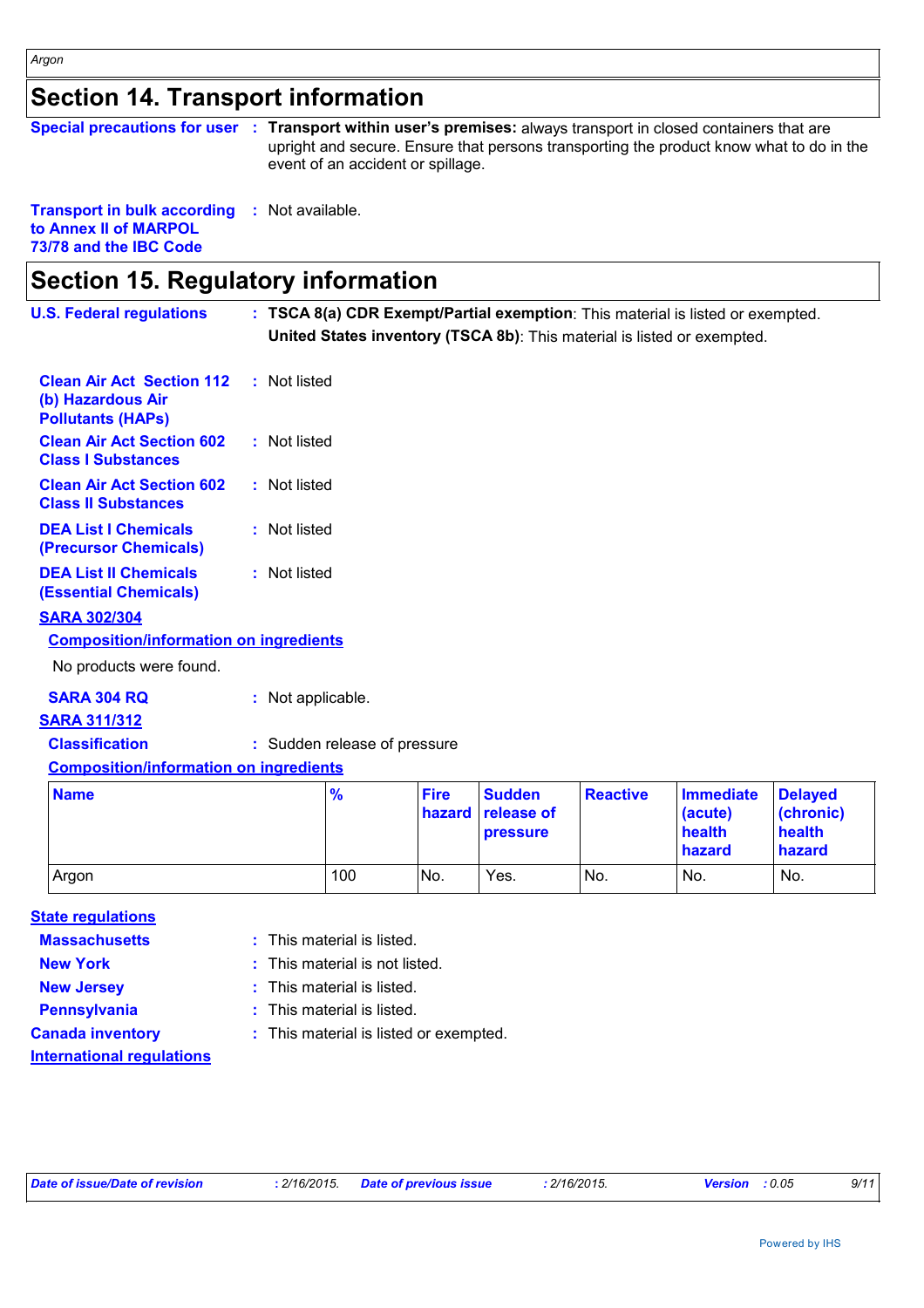### **Section 14. Transport information**

|  | Special precautions for user : Transport within user's premises: always transport in closed containers that are |
|--|-----------------------------------------------------------------------------------------------------------------|
|  | upright and secure. Ensure that persons transporting the product know what to do in the                         |
|  | event of an accident or spillage.                                                                               |

**Transport in bulk according :** Not available. **to Annex II of MARPOL 73/78 and the IBC Code**

### **Section 15. Regulatory information**

| <b>U.S. Federal regulations</b>                                                   | : TSCA 8(a) CDR Exempt/Partial exemption: This material is listed or exempted.<br>United States inventory (TSCA 8b): This material is listed or exempted. |
|-----------------------------------------------------------------------------------|-----------------------------------------------------------------------------------------------------------------------------------------------------------|
| <b>Clean Air Act Section 112</b><br>(b) Hazardous Air<br><b>Pollutants (HAPS)</b> | : Not listed                                                                                                                                              |
| <b>Clean Air Act Section 602</b><br><b>Class I Substances</b>                     | : Not listed                                                                                                                                              |
| <b>Clean Air Act Section 602</b><br><b>Class II Substances</b>                    | : Not listed                                                                                                                                              |
| <b>DEA List I Chemicals</b><br>(Precursor Chemicals)                              | : Not listed                                                                                                                                              |
| <b>DEA List II Chemicals</b><br><b>(Essential Chemicals)</b>                      | : Not listed                                                                                                                                              |
| <b>SARA 302/304</b>                                                               |                                                                                                                                                           |
| <b>Composition/information on ingredients</b>                                     |                                                                                                                                                           |
| No products were found.                                                           |                                                                                                                                                           |
| <b>SARA 304 RQ</b><br><b>SARA 311/312</b>                                         | : Not applicable.                                                                                                                                         |

**Classification :** Sudden release of pressure

**Composition/information on ingredients**

| <b>Name</b> | $\frac{9}{6}$ | <b>Fire</b> | <b>Sudden</b><br>hazard release of<br><b>pressure</b> | <b>Reactive</b> | <b>Immediate</b><br>(acute)<br>health<br>hazard | <b>Delaved</b><br>(chronic)<br>health<br>hazard |
|-------------|---------------|-------------|-------------------------------------------------------|-----------------|-------------------------------------------------|-------------------------------------------------|
| Argon       | 100           | No.         | Yes.                                                  | No.             | No.                                             | No.                                             |

#### **State regulations**

- **Massachusetts** This material is listed.
- 
- 
- **New York :** This material is not listed.
- **New Jersey :** This material is listed.
	-
- 
- **Pennsylvania :** This material is listed.
- **International regulations**
- **Canada inventory :** This material is listed or exempted.

| Date of issue/Date of revision |  |  |  |  |  |
|--------------------------------|--|--|--|--|--|
|--------------------------------|--|--|--|--|--|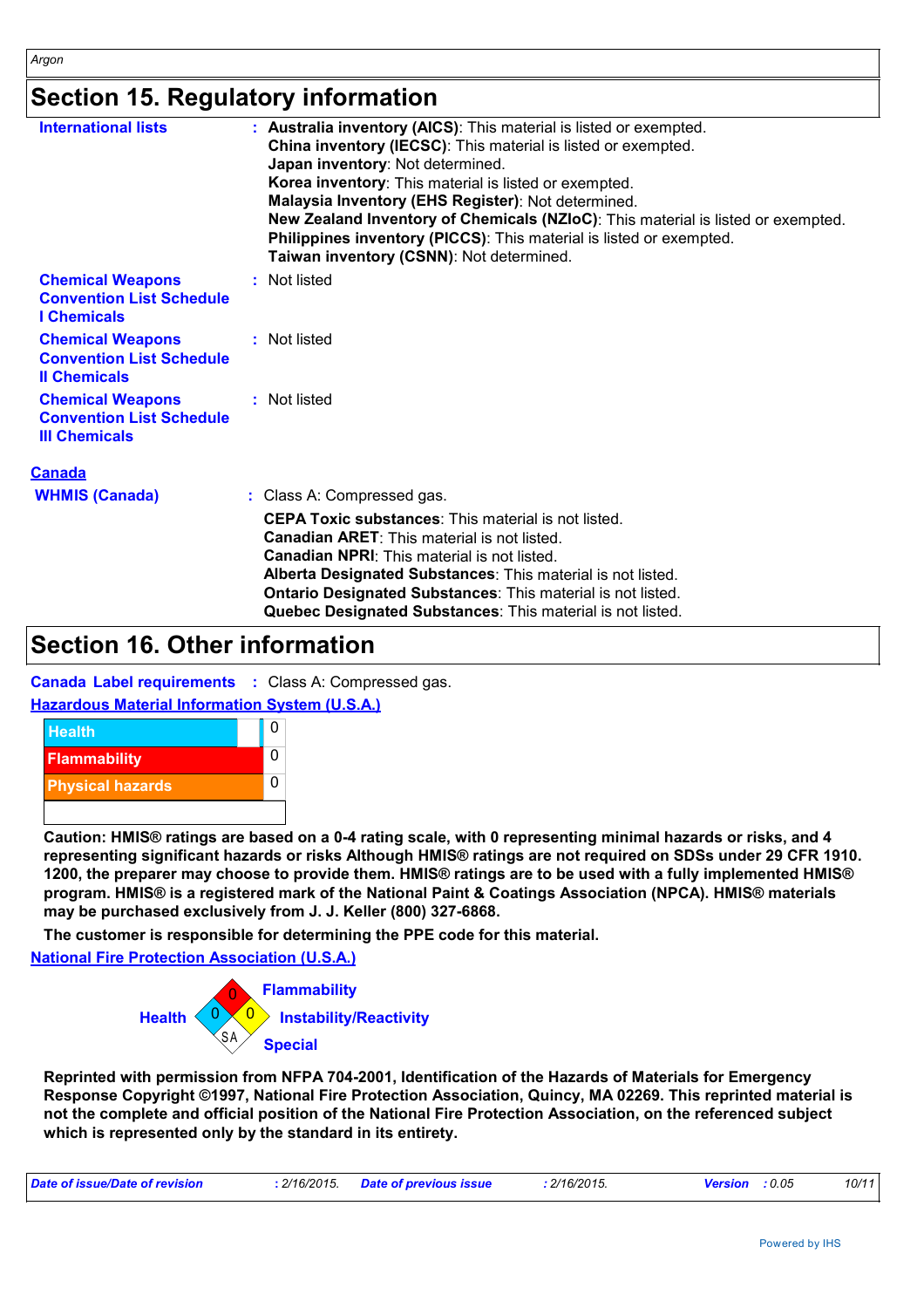### **Section 15. Regulatory information**

| <b>International lists</b>                                                         | : Australia inventory (AICS): This material is listed or exempted.<br>China inventory (IECSC): This material is listed or exempted.<br>Japan inventory: Not determined.<br>Korea inventory: This material is listed or exempted.<br>Malaysia Inventory (EHS Register): Not determined.<br>New Zealand Inventory of Chemicals (NZIoC): This material is listed or exempted.<br><b>Philippines inventory (PICCS):</b> This material is listed or exempted.<br>Taiwan inventory (CSNN): Not determined. |
|------------------------------------------------------------------------------------|------------------------------------------------------------------------------------------------------------------------------------------------------------------------------------------------------------------------------------------------------------------------------------------------------------------------------------------------------------------------------------------------------------------------------------------------------------------------------------------------------|
| <b>Chemical Weapons</b><br><b>Convention List Schedule</b><br><b>I</b> Chemicals   | : Not listed                                                                                                                                                                                                                                                                                                                                                                                                                                                                                         |
| <b>Chemical Weapons</b><br><b>Convention List Schedule</b><br><b>Il Chemicals</b>  | : Not listed                                                                                                                                                                                                                                                                                                                                                                                                                                                                                         |
| <b>Chemical Weapons</b><br><b>Convention List Schedule</b><br><b>III Chemicals</b> | : Not listed                                                                                                                                                                                                                                                                                                                                                                                                                                                                                         |
| <b>Canada</b><br><b>WHMIS (Canada)</b>                                             | : Class A: Compressed gas.                                                                                                                                                                                                                                                                                                                                                                                                                                                                           |
|                                                                                    |                                                                                                                                                                                                                                                                                                                                                                                                                                                                                                      |

| <b>CEPA Toxic substances:</b> This material is not listed.<br><b>Canadian ARET:</b> This material is not listed. |
|------------------------------------------------------------------------------------------------------------------|
| <b>Canadian NPRI:</b> This material is not listed.                                                               |
| Alberta Designated Substances: This material is not listed.                                                      |
| Ontario Designated Substances: This material is not listed.                                                      |
| Quebec Designated Substances: This material is not listed.                                                       |

### **Section 16. Other information**

**Canada Label requirements :** Class A: Compressed gas.

**Hazardous Material Information System (U.S.A.)**



CEPA Toxic substances: This material is not listed.<br>Canadian ARET: This material is not listed.<br>Canadian NRR: This material is not listed.<br>Alberta Designated Substances: This material is not listed.<br>Alberta Designated Subs **Caution: HMIS® ratings are based on a 0-4 rating scale, with 0 representing minimal hazards or risks, and 4 representing significant hazards or risks Although HMIS® ratings are not required on SDSs under 29 CFR 1910. 1200, the preparer may choose to provide them. HMIS® ratings are to be used with a fully implemented HMIS® program. HMIS® is a registered mark of the National Paint & Coatings Association (NPCA). HMIS® materials may be purchased exclusively from J. J. Keller (800) 327-6868.**

**The customer is responsible for determining the PPE code for this material.**

**National Fire Protection Association (U.S.A.)**



**Reprinted with permission from NFPA 704-2001, Identification of the Hazards of Materials for Emergency Response Copyright ©1997, National Fire Protection Association, Quincy, MA 02269. This reprinted material is not the complete and official position of the National Fire Protection Association, on the referenced subject which is represented only by the standard in its entirety.**

| : 2/16/2015.<br>Date of issue/Date of revision | Date of previous issue | 2/16/2015. | : 0.05<br><b>Version</b> | 10/11 |
|------------------------------------------------|------------------------|------------|--------------------------|-------|
|------------------------------------------------|------------------------|------------|--------------------------|-------|